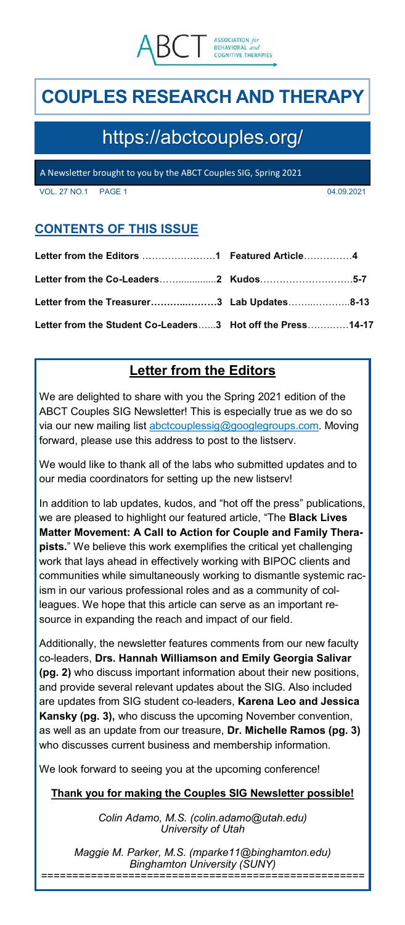

# **COUPLES RESEARCH AND THERAPY**

# https://abctcouples.org/

A Newsletter brought to you by the ABCT Couples SIG, Spring 2021

VOL. 27 NO.1 PAGE 1 04.09.2021

# **CONTENTS OF THIS ISSUE**

| Letter from the Treasurer3 Lab Updates8-13                 |  |
|------------------------------------------------------------|--|
| Letter from the Student Co-Leaders3 Hot off the Press14-17 |  |

# **Letter from the Editors**

We are delighted to share with you the Spring 2021 edition of the ABCT Couples SIG Newsletter! This is especially true as we do so via our new mailing list [abctcouplessig@googlegroups.com.](mailto:abctcouplessig@googlegroups.com) Moving forward, please use this address to post to the listserv.

We would like to thank all of the labs who submitted updates and to our media coordinators for setting up the new listserv!

In addition to lab updates, kudos, and "hot off the press" publications, we are pleased to highlight our featured article, "The **Black Lives Matter Movement: A Call to Action for Couple and Family Therapists.**" We believe this work exemplifies the critical yet challenging work that lays ahead in effectively working with BIPOC clients and communities while simultaneously working to dismantle systemic racism in our various professional roles and as a community of colleagues. We hope that this article can serve as an important resource in expanding the reach and impact of our field.

Additionally, the newsletter features comments from our new faculty co-leaders, **Drs. Hannah Williamson and Emily Georgia Salivar (pg. 2)** who discuss important information about their new positions, and provide several relevant updates about the SIG. Also included are updates from SIG student co-leaders, **Karena Leo and Jessica Kansky (pg. 3),** who discuss the upcoming November convention, as well as an update from our treasure, **Dr. Michelle Ramos (pg. 3)**  who discusses current business and membership information.

We look forward to seeing you at the upcoming conference!

# **Thank you for making the Couples SIG Newsletter possible!**

*Colin Adamo, M.S. (colin.adamo@utah.edu) University of Utah*

*Maggie M. Parker, M.S. (mparke11@binghamton.edu) Binghamton University (SUNY) ====================================================*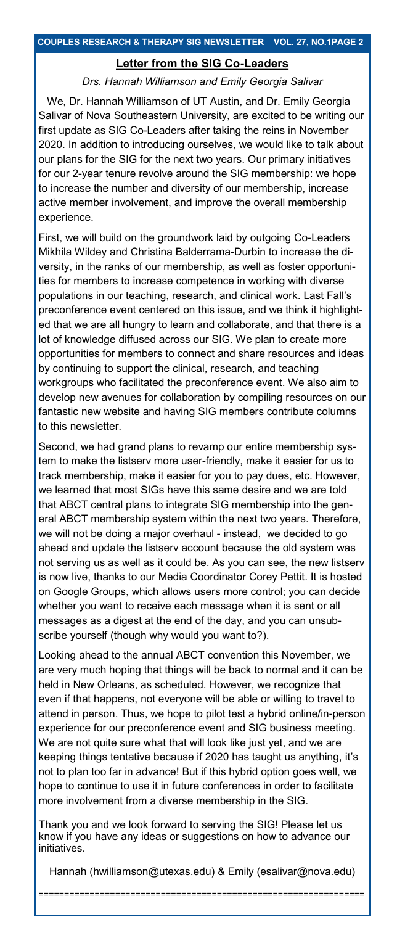### **Letter from the SIG Co-Leaders**

#### *Drs. Hannah Williamson and Emily Georgia Salivar*

We, Dr. Hannah Williamson of UT Austin, and Dr. Emily Georgia Salivar of Nova Southeastern University, are excited to be writing our first update as SIG Co-Leaders after taking the reins in November 2020. In addition to introducing ourselves, we would like to talk about our plans for the SIG for the next two years. Our primary initiatives for our 2-year tenure revolve around the SIG membership: we hope to increase the number and diversity of our membership, increase active member involvement, and improve the overall membership experience.

First, we will build on the groundwork laid by outgoing Co-Leaders Mikhila Wildey and Christina Balderrama-Durbin to increase the diversity, in the ranks of our membership, as well as foster opportunities for members to increase competence in working with diverse populations in our teaching, research, and clinical work. Last Fall's preconference event centered on this issue, and we think it highlighted that we are all hungry to learn and collaborate, and that there is a lot of knowledge diffused across our SIG. We plan to create more opportunities for members to connect and share resources and ideas by continuing to support the clinical, research, and teaching workgroups who facilitated the preconference event. We also aim to develop new avenues for collaboration by compiling resources on our fantastic new website and having SIG members contribute columns to this newsletter.

Second, we had grand plans to revamp our entire membership system to make the listserv more user-friendly, make it easier for us to track membership, make it easier for you to pay dues, etc. However, we learned that most SIGs have this same desire and we are told that ABCT central plans to integrate SIG membership into the general ABCT membership system within the next two years. Therefore, we will not be doing a major overhaul - instead, we decided to go ahead and update the listserv account because the old system was not serving us as well as it could be. As you can see, the new listserv is now live, thanks to our Media Coordinator Corey Pettit. It is hosted on Google Groups, which allows users more control; you can decide whether you want to receive each message when it is sent or all messages as a digest at the end of the day, and you can unsubscribe yourself (though why would you want to?).

Looking ahead to the annual ABCT convention this November, we are very much hoping that things will be back to normal and it can be held in New Orleans, as scheduled. However, we recognize that even if that happens, not everyone will be able or willing to travel to attend in person. Thus, we hope to pilot test a hybrid online/in-person experience for our preconference event and SIG business meeting. We are not quite sure what that will look like just yet, and we are keeping things tentative because if 2020 has taught us anything, it's not to plan too far in advance! But if this hybrid option goes well, we hope to continue to use it in future conferences in order to facilitate more involvement from a diverse membership in the SIG.

Thank you and we look forward to serving the SIG! Please let us know if you have any ideas or suggestions on how to advance our initiatives.

Hannah (hwilliamson@utexas.edu) & Emily (esalivar@nova.edu)

================================================================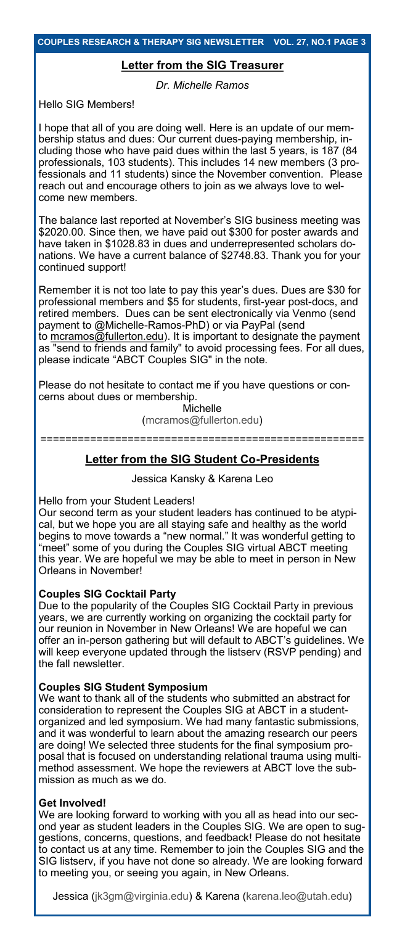### **Letter from the SIG Treasurer**

*Dr. Michelle Ramos* 

Hello SIG Members!

I hope that all of you are doing well. Here is an update of our membership status and dues: Our current dues-paying membership, including those who have paid dues within the last 5 years, is 187 (84 professionals, 103 students). This includes 14 new members (3 professionals and 11 students) since the November convention. Please reach out and encourage others to join as we always love to welcome new members.

The balance last reported at November's SIG business meeting was \$2020.00. Since then, we have paid out \$300 for poster awards and have taken in \$1028.83 in dues and underrepresented scholars donations. We have a current balance of \$2748.83. Thank you for your continued support!

Remember it is not too late to pay this year's dues. Dues are \$30 for professional members and \$5 for students, first-year post-docs, and retired members. Dues can be sent electronically via Venmo (send payment to @Michelle-Ramos-PhD) or via PayPal (send to [mcramos@fullerton.edu\).](mailto:mcramos@fullerton.edu) It is important to designate the payment as "send to friends and family" to avoid processing fees. For all dues,

please indicate "ABCT Couples SIG" in the note. Please do not hesitate to contact me if you have questions or con-

cerns about dues or membership. Michelle (mcramos@fullerton.edu)

====================================================

# **Letter from the SIG Student Co-Presidents**

Jessica Kansky & Karena Leo

Hello from your Student Leaders!

Our second term as your student leaders has continued to be atypical, but we hope you are all staying safe and healthy as the world begins to move towards a "new normal." It was wonderful getting to "meet" some of you during the Couples SIG virtual ABCT meeting this year. We are hopeful we may be able to meet in person in New Orleans in November!

### **Couples SIG Cocktail Party**

Due to the popularity of the Couples SIG Cocktail Party in previous years, we are currently working on organizing the cocktail party for our reunion in November in New Orleans! We are hopeful we can offer an in-person gathering but will default to ABCT's guidelines. We will keep everyone updated through the listserv (RSVP pending) and the fall newsletter.

### **Couples SIG Student Symposium**

We want to thank all of the students who submitted an abstract for consideration to represent the Couples SIG at ABCT in a studentorganized and led symposium. We had many fantastic submissions, and it was wonderful to learn about the amazing research our peers are doing! We selected three students for the final symposium proposal that is focused on understanding relational trauma using multimethod assessment. We hope the reviewers at ABCT love the submission as much as we do.

### **Get Involved!**

We are looking forward to working with you all as head into our second year as student leaders in the Couples SIG. We are open to suggestions, concerns, questions, and feedback! Please do not hesitate to contact us at any time. Remember to join the Couples SIG and the SIG listserv, if you have not done so already. We are looking forward to meeting you, or seeing you again, in New Orleans.

Jessica (jk3gm@virginia.edu) & Karena (karena.leo@utah.edu)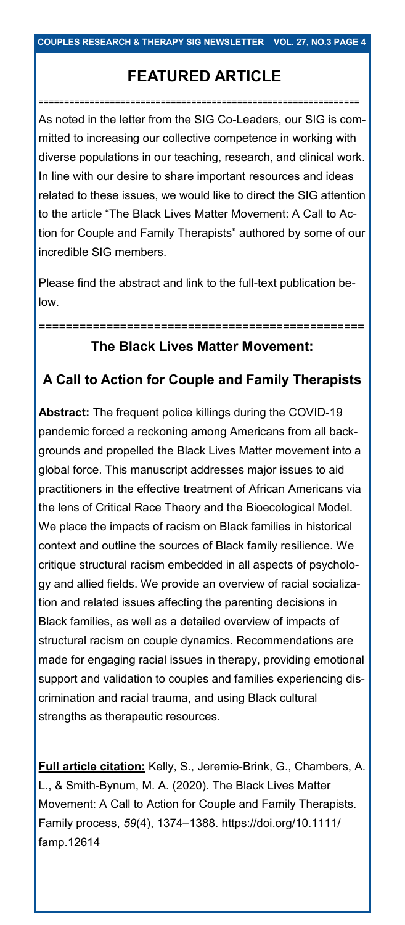# **FEATURED ARTICLE**

===============================================================

As noted in the letter from the SIG Co-Leaders, our SIG is committed to increasing our collective competence in working with diverse populations in our teaching, research, and clinical work. In line with our desire to share important resources and ideas related to these issues, we would like to direct the SIG attention to the article "The Black Lives Matter Movement: A Call to Action for Couple and Family Therapists" authored by some of our incredible SIG members.

Please find the abstract and link to the full-text publication below.

# **The Black Lives Matter Movement:**

================================================

# **A Call to Action for Couple and Family Therapists**

**Abstract:** The frequent police killings during the COVID-19 pandemic forced a reckoning among Americans from all backgrounds and propelled the Black Lives Matter movement into a global force. This manuscript addresses major issues to aid practitioners in the effective treatment of African Americans via the lens of Critical Race Theory and the Bioecological Model. We place the impacts of racism on Black families in historical context and outline the sources of Black family resilience. We critique structural racism embedded in all aspects of psychology and allied fields. We provide an overview of racial socialization and related issues affecting the parenting decisions in Black families, as well as a detailed overview of impacts of structural racism on couple dynamics. Recommendations are made for engaging racial issues in therapy, providing emotional support and validation to couples and families experiencing discrimination and racial trauma, and using Black cultural strengths as therapeutic resources.

**Full article citation:** Kelly, S., Jeremie-Brink, G., Chambers, A. L., & Smith-Bynum, M. A. (2020). The Black Lives Matter Movement: A Call to Action for Couple and Family Therapists. Family process, *59*(4), 1374–1388. https://doi.org/10.1111/ famp.12614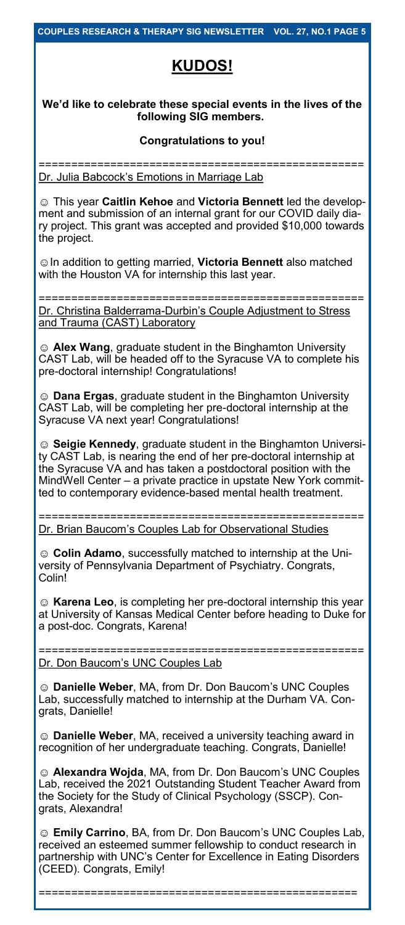# **KUDOS!**

## **We'd like to celebrate these special events in the lives of the following SIG members.**

### **Congratulations to you!**

================================================== Dr. Julia Babcock's Emotions in Marriage Lab

☺ This year **Caitlin Kehoe** and **Victoria Bennett** led the development and submission of an internal grant for our COVID daily diary project. This grant was accepted and provided \$10,000 towards the project.

☺In addition to getting married, **Victoria Bennett** also matched with the Houston VA for internship this last year.

================================================== Dr. Christina Balderrama-Durbin's Couple Adjustment to Stress and Trauma (CAST) Laboratory

☺ **Alex Wang**, graduate student in the Binghamton University CAST Lab, will be headed off to the Syracuse VA to complete his pre-doctoral internship! Congratulations!

☺ **Dana Ergas**, graduate student in the Binghamton University CAST Lab, will be completing her pre-doctoral internship at the Syracuse VA next year! Congratulations!

☺ **Seigie Kennedy**, graduate student in the Binghamton University CAST Lab, is nearing the end of her pre-doctoral internship at the Syracuse VA and has taken a postdoctoral position with the MindWell Center – a private practice in upstate New York committed to contemporary evidence-based mental health treatment.

================================================== Dr. Brian Baucom's Couples Lab for Observational Studies

☺ **Colin Adamo**, successfully matched to internship at the University of Pennsylvania Department of Psychiatry. Congrats, Colin!

☺ **Karena Leo**, is completing her pre-doctoral internship this year at University of Kansas Medical Center before heading to Duke for a post-doc. Congrats, Karena!

================================================== Dr. Don Baucom's UNC Couples Lab

☺ **Danielle Weber**, MA, from Dr. Don Baucom's UNC Couples Lab, successfully matched to internship at the Durham VA. Congrats, Danielle!

☺ **Danielle Weber**, MA, received a university teaching award in recognition of her undergraduate teaching. Congrats, Danielle!

☺ **Alexandra Wojda**, MA, from Dr. Don Baucom's UNC Couples Lab, received the 2021 Outstanding Student Teacher Award from the Society for the Study of Clinical Psychology (SSCP). Congrats, Alexandra!

☺ **Emily Carrino**, BA, from Dr. Don Baucom's UNC Couples Lab, received an esteemed summer fellowship to conduct research in partnership with UNC's Center for Excellence in Eating Disorders (CEED). Congrats, Emily!

=================================================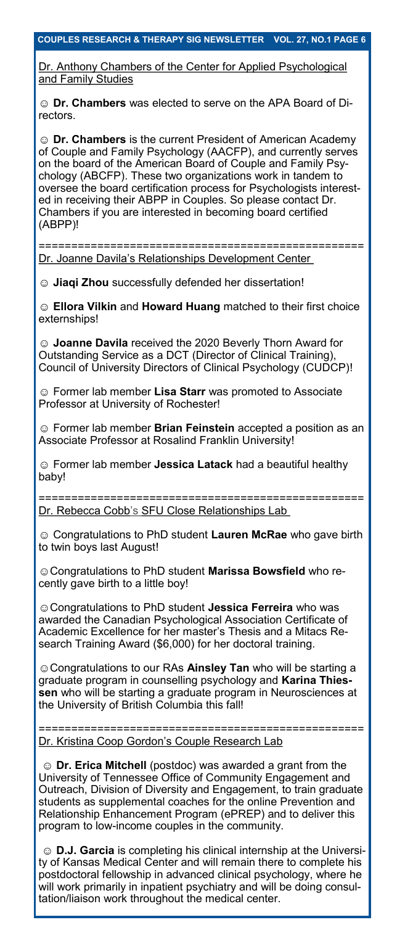Dr. Anthony Chambers of the Center for Applied Psychological and Family Studies

☺ **Dr. Chambers** was elected to serve on the APA Board of Directors.

☺ **Dr. Chambers** is the current President of American Academy of Couple and Family Psychology (AACFP), and currently serves on the board of the American Board of Couple and Family Psychology (ABCFP). These two organizations work in tandem to oversee the board certification process for Psychologists interested in receiving their ABPP in Couples. So please contact Dr. Chambers if you are interested in becoming board certified (ABPP)!

================================================== Dr. Joanne Davila's Relationships Development Center

☺ **Jiaqi Zhou** successfully defended her dissertation!

☺ **Ellora Vilkin** and **Howard Huang** matched to their first choice externships!

☺ **Joanne Davila** received the 2020 Beverly Thorn Award for Outstanding Service as a DCT (Director of Clinical Training), Council of University Directors of Clinical Psychology (CUDCP)!

☺ Former lab member **Lisa Starr** was promoted to Associate Professor at University of Rochester!

☺ Former lab member **Brian Feinstein** accepted a position as an Associate Professor at Rosalind Franklin University!

☺ Former lab member **Jessica Latack** had a beautiful healthy baby!

================================================== Dr. Rebecca Cobb's SFU Close Relationships Lab

☺ Congratulations to PhD student **Lauren McRae** who gave birth to twin boys last August!

☺Congratulations to PhD student **Marissa Bowsfield** who recently gave birth to a little boy!

☺Congratulations to PhD student **Jessica Ferreira** who was awarded the Canadian Psychological Association Certificate of Academic Excellence for her master's Thesis and a Mitacs Research Training Award (\$6,000) for her doctoral training.

☺Congratulations to our RAs **Ainsley Tan** who will be starting a graduate program in counselling psychology and **Karina Thiessen** who will be starting a graduate program in Neurosciences at the University of British Columbia this fall!

======================= Dr. Kristina Coop Gordon's Couple Research Lab

☺ **Dr. Erica Mitchell** (postdoc) was awarded a grant from the University of Tennessee Office of Community Engagement and Outreach, Division of Diversity and Engagement, to train graduate students as supplemental coaches for the online Prevention and Relationship Enhancement Program (ePREP) and to deliver this program to low-income couples in the community.

☺ **D.J. Garcia** is completing his clinical internship at the University of Kansas Medical Center and will remain there to complete his postdoctoral fellowship in advanced clinical psychology, where he will work primarily in inpatient psychiatry and will be doing consultation/liaison work throughout the medical center.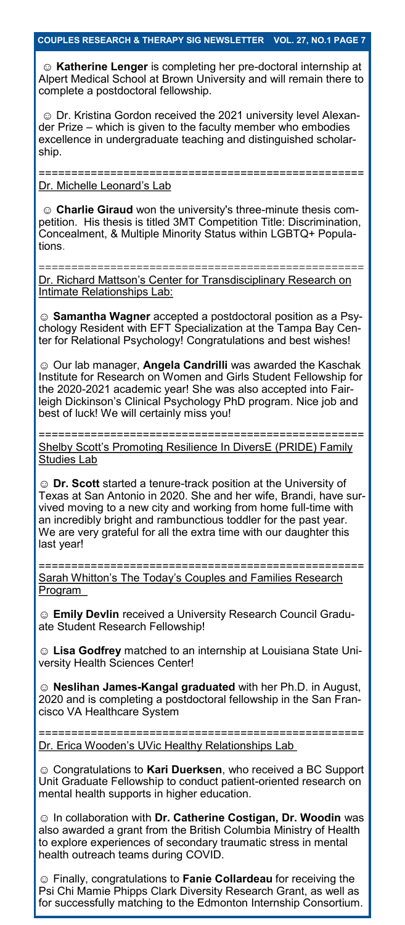☺ **Katherine Lenger** is completing her pre-doctoral internship at Alpert Medical School at Brown University and will remain there to complete a postdoctoral fellowship.

☺ Dr. Kristina Gordon received the 2021 university level Alexander Prize – which is given to the faculty member who embodies excellence in undergraduate teaching and distinguished scholarship.

==================== Dr. Michelle Leonard's Lab

☺ **Charlie Giraud** won the university's three-minute thesis competition. His thesis is titled 3MT Competition Title: Discrimination, Concealment, & Multiple Minority Status within LGBTQ+ Populations.

Dr. Richard Mattson's Center for Transdisciplinary Research on Intimate Relationships Lab:

==================================================

☺ **Samantha Wagner** accepted a postdoctoral position as a Psychology Resident with EFT Specialization at the Tampa Bay Center for Relational Psychology! Congratulations and best wishes!

☺ Our lab manager, **Angela Candrilli** was awarded the Kaschak Institute for Research on Women and Girls Student Fellowship for the 2020-2021 academic year! She was also accepted into Fairleigh Dickinson's Clinical Psychology PhD program. Nice job and best of luck! We will certainly miss you!

================================================== Shelby Scott's Promoting Resilience In DiversE (PRIDE) Family Studies Lab

☺ **Dr. Scott** started a tenure-track position at the University of Texas at San Antonio in 2020. She and her wife, Brandi, have survived moving to a new city and working from home full-time with an incredibly bright and rambunctious toddler for the past year. We are very grateful for all the extra time with our daughter this last year!

================================================== Sarah Whitton's The Today's Couples and Families Research Program

☺ **Emily Devlin** received a University Research Council Graduate Student Research Fellowship!

☺ **Lisa Godfrey** matched to an internship at Louisiana State University Health Sciences Center!

☺ **Neslihan James-Kangal graduated** with her Ph.D. in August, 2020 and is completing a postdoctoral fellowship in the San Francisco VA Healthcare System

================================================== Dr. Erica Wooden's UVic Healthy Relationships Lab

☺ Congratulations to **Kari Duerksen**, who received a BC Support Unit Graduate Fellowship to conduct patient-oriented research on mental health supports in higher education.

☺ In collaboration with **Dr. Catherine Costigan, Dr. Woodin** was also awarded a grant from the British Columbia Ministry of Health to explore experiences of secondary traumatic stress in mental health outreach teams during COVID.

☺ Finally, congratulations to **Fanie Collardeau** for receiving the Psi Chi Mamie Phipps Clark Diversity Research Grant, as well as for successfully matching to the Edmonton Internship Consortium.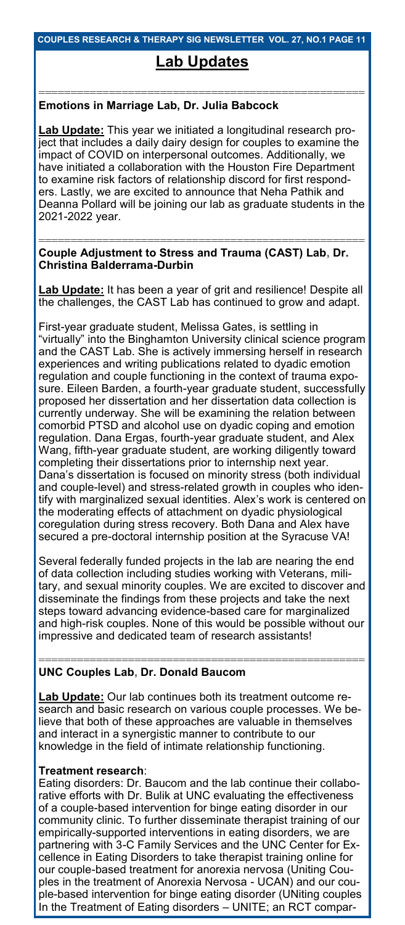### **COUPLES RESEARCH & THERAPY SIG NEWSLETTER VOL. 27, NO.1 PAGE 11**

# **Lab Updates**

### =================================================== **Emotions in Marriage Lab, Dr. Julia Babcock**

**Lab Update:** This year we initiated a longitudinal research project that includes a daily dairy design for couples to examine the impact of COVID on interpersonal outcomes. Additionally, we have initiated a collaboration with the Houston Fire Department to examine risk factors of relationship discord for first responders. Lastly, we are excited to announce that Neha Pathik and Deanna Pollard will be joining our lab as graduate students in the 2021-2022 year.

### =================================================== **Couple Adjustment to Stress and Trauma (CAST) Lab, Dr. Christina Balderrama-Durbin**

**Lab Update:** It has been a year of grit and resilience! Despite all the challenges, the CAST Lab has continued to grow and adapt.

First-year graduate student, Melissa Gates, is settling in "virtually" into the Binghamton University clinical science program and the CAST Lab. She is actively immersing herself in research experiences and writing publications related to dyadic emotion regulation and couple functioning in the context of trauma exposure. Eileen Barden, a fourth-year graduate student, successfully proposed her dissertation and her dissertation data collection is currently underway. She will be examining the relation between comorbid PTSD and alcohol use on dyadic coping and emotion regulation. Dana Ergas, fourth-year graduate student, and Alex Wang, fifth-year graduate student, are working diligently toward completing their dissertations prior to internship next year. Dana's dissertation is focused on minority stress (both individual and couple-level) and stress-related growth in couples who identify with marginalized sexual identities. Alex's work is centered on the moderating effects of attachment on dyadic physiological coregulation during stress recovery. Both Dana and Alex have secured a pre-doctoral internship position at the Syracuse VA!

Several federally funded projects in the lab are nearing the end of data collection including studies working with Veterans, military, and sexual minority couples. We are excited to discover and disseminate the findings from these projects and take the next steps toward advancing evidence-based care for marginalized and high-risk couples. None of this would be possible without our impressive and dedicated team of research assistants!

### =================================================== **UNC Couples Lab, Dr. Donald Baucom**

**Lab Update:** Our lab continues both its treatment outcome research and basic research on various couple processes. We believe that both of these approaches are valuable in themselves and interact in a synergistic manner to contribute to our knowledge in the field of intimate relationship functioning.

### **Treatment research**:

Eating disorders: Dr. Baucom and the lab continue their collaborative efforts with Dr. Bulik at UNC evaluating the effectiveness of a couple-based intervention for binge eating disorder in our community clinic. To further disseminate therapist training of our empirically-supported interventions in eating disorders, we are partnering with 3-C Family Services and the UNC Center for Excellence in Eating Disorders to take therapist training online for our couple-based treatment for anorexia nervosa (Uniting Couples in the treatment of Anorexia Nervosa - UCAN) and our couple-based intervention for binge eating disorder (UNiting couples In the Treatment of Eating disorders – UNITE; an RCT compar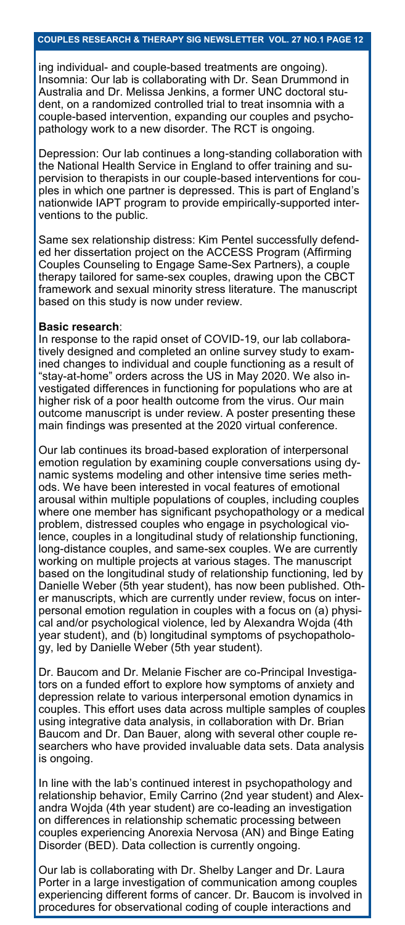ing individual- and couple-based treatments are ongoing). Insomnia: Our lab is collaborating with Dr. Sean Drummond in Australia and Dr. Melissa Jenkins, a former UNC doctoral student, on a randomized controlled trial to treat insomnia with a couple-based intervention, expanding our couples and psychopathology work to a new disorder. The RCT is ongoing.

Depression: Our lab continues a long-standing collaboration with the National Health Service in England to offer training and supervision to therapists in our couple-based interventions for couples in which one partner is depressed. This is part of England's nationwide IAPT program to provide empirically-supported interventions to the public.

Same sex relationship distress: Kim Pentel successfully defended her dissertation project on the ACCESS Program (Affirming Couples Counseling to Engage Same-Sex Partners), a couple therapy tailored for same-sex couples, drawing upon the CBCT framework and sexual minority stress literature. The manuscript based on this study is now under review.

#### **Basic research**:

In response to the rapid onset of COVID-19, our lab collaboratively designed and completed an online survey study to examined changes to individual and couple functioning as a result of "stay-at-home" orders across the US in May 2020. We also investigated differences in functioning for populations who are at higher risk of a poor health outcome from the virus. Our main outcome manuscript is under review. A poster presenting these main findings was presented at the 2020 virtual conference.

Our lab continues its broad-based exploration of interpersonal emotion regulation by examining couple conversations using dynamic systems modeling and other intensive time series methods. We have been interested in vocal features of emotional arousal within multiple populations of couples, including couples where one member has significant psychopathology or a medical problem, distressed couples who engage in psychological violence, couples in a longitudinal study of relationship functioning, long-distance couples, and same-sex couples. We are currently working on multiple projects at various stages. The manuscript based on the longitudinal study of relationship functioning, led by Danielle Weber (5th year student), has now been published. Other manuscripts, which are currently under review, focus on interpersonal emotion regulation in couples with a focus on (a) physical and/or psychological violence, led by Alexandra Wojda (4th year student), and (b) longitudinal symptoms of psychopathology, led by Danielle Weber (5th year student).

Dr. Baucom and Dr. Melanie Fischer are co-Principal Investigators on a funded effort to explore how symptoms of anxiety and depression relate to various interpersonal emotion dynamics in couples. This effort uses data across multiple samples of couples using integrative data analysis, in collaboration with Dr. Brian Baucom and Dr. Dan Bauer, along with several other couple researchers who have provided invaluable data sets. Data analysis is ongoing.

In line with the lab's continued interest in psychopathology and relationship behavior, Emily Carrino (2nd year student) and Alexandra Wojda (4th year student) are co-leading an investigation on differences in relationship schematic processing between couples experiencing Anorexia Nervosa (AN) and Binge Eating Disorder (BED). Data collection is currently ongoing.

Our lab is collaborating with Dr. Shelby Langer and Dr. Laura Porter in a large investigation of communication among couples experiencing different forms of cancer. Dr. Baucom is involved in procedures for observational coding of couple interactions and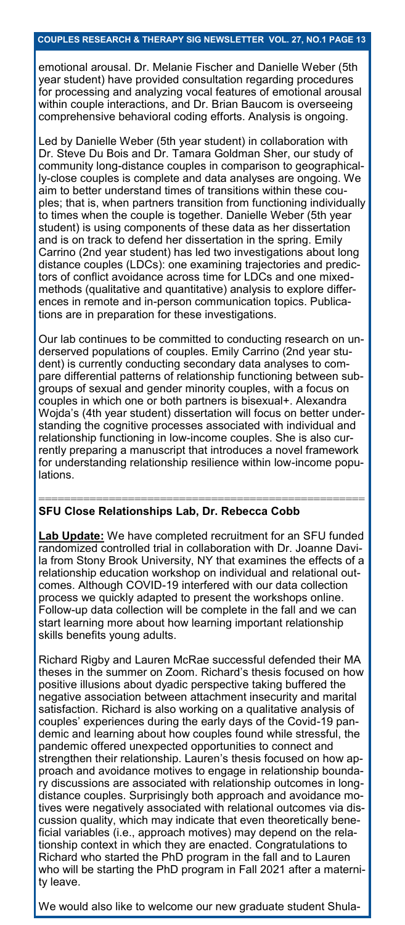emotional arousal. Dr. Melanie Fischer and Danielle Weber (5th year student) have provided consultation regarding procedures for processing and analyzing vocal features of emotional arousal within couple interactions, and Dr. Brian Baucom is overseeing comprehensive behavioral coding efforts. Analysis is ongoing.

Led by Danielle Weber (5th year student) in collaboration with Dr. Steve Du Bois and Dr. Tamara Goldman Sher, our study of community long-distance couples in comparison to geographically-close couples is complete and data analyses are ongoing. We aim to better understand times of transitions within these couples; that is, when partners transition from functioning individually to times when the couple is together. Danielle Weber (5th year student) is using components of these data as her dissertation and is on track to defend her dissertation in the spring. Emily Carrino (2nd year student) has led two investigations about long distance couples (LDCs): one examining trajectories and predictors of conflict avoidance across time for LDCs and one mixedmethods (qualitative and quantitative) analysis to explore differences in remote and in-person communication topics. Publications are in preparation for these investigations.

Our lab continues to be committed to conducting research on underserved populations of couples. Emily Carrino (2nd year student) is currently conducting secondary data analyses to compare differential patterns of relationship functioning between subgroups of sexual and gender minority couples, with a focus on couples in which one or both partners is bisexual+. Alexandra Wojda's (4th year student) dissertation will focus on better understanding the cognitive processes associated with individual and relationship functioning in low-income couples. She is also currently preparing a manuscript that introduces a novel framework for understanding relationship resilience within low-income populations.

### **SFU Close Relationships Lab, Dr. Rebecca Cobb**

**Lab Update:** We have completed recruitment for an SFU funded randomized controlled trial in collaboration with Dr. Joanne Davila from Stony Brook University, NY that examines the effects of a relationship education workshop on individual and relational outcomes. Although COVID-19 interfered with our data collection process we quickly adapted to present the workshops online. Follow-up data collection will be complete in the fall and we can start learning more about how learning important relationship skills benefits young adults.

===================================================

Richard Rigby and Lauren McRae successful defended their MA theses in the summer on Zoom. Richard's thesis focused on how positive illusions about dyadic perspective taking buffered the negative association between attachment insecurity and marital satisfaction. Richard is also working on a qualitative analysis of couples' experiences during the early days of the Covid-19 pandemic and learning about how couples found while stressful, the pandemic offered unexpected opportunities to connect and strengthen their relationship. Lauren's thesis focused on how approach and avoidance motives to engage in relationship boundary discussions are associated with relationship outcomes in longdistance couples. Surprisingly both approach and avoidance motives were negatively associated with relational outcomes via discussion quality, which may indicate that even theoretically beneficial variables (i.e., approach motives) may depend on the relationship context in which they are enacted. Congratulations to Richard who started the PhD program in the fall and to Lauren who will be starting the PhD program in Fall 2021 after a maternity leave.

We would also like to welcome our new graduate student Shula-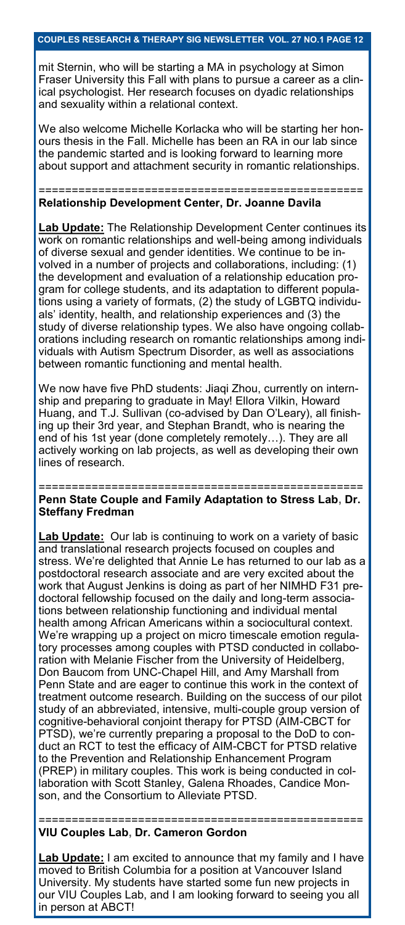mit Sternin, who will be starting a MA in psychology at Simon Fraser University this Fall with plans to pursue a career as a clinical psychologist. Her research focuses on dyadic relationships and sexuality within a relational context.

We also welcome Michelle Korlacka who will be starting her honours thesis in the Fall. Michelle has been an RA in our lab since the pandemic started and is looking forward to learning more about support and attachment security in romantic relationships.

#### ================================================= **Relationship Development Center, Dr. Joanne Davila**

**Lab Update:** The Relationship Development Center continues its work on romantic relationships and well-being among individuals of diverse sexual and gender identities. We continue to be involved in a number of projects and collaborations, including: (1) the development and evaluation of a relationship education program for college students, and its adaptation to different populations using a variety of formats, (2) the study of LGBTQ individuals' identity, health, and relationship experiences and (3) the study of diverse relationship types. We also have ongoing collaborations including research on romantic relationships among individuals with Autism Spectrum Disorder, as well as associations between romantic functioning and mental health.

We now have five PhD students: Jiaqi Zhou, currently on internship and preparing to graduate in May! Ellora Vilkin, Howard Huang, and T.J. Sullivan (co-advised by Dan O'Leary), all finishing up their 3rd year, and Stephan Brandt, who is nearing the end of his 1st year (done completely remotely…). They are all actively working on lab projects, as well as developing their own lines of research.

### ================================================= **Penn State Couple and Family Adaptation to Stress Lab, Dr. Steffany Fredman**

**Lab Update:** Our lab is continuing to work on a variety of basic and translational research projects focused on couples and stress. We're delighted that Annie Le has returned to our lab as a postdoctoral research associate and are very excited about the work that August Jenkins is doing as part of her NIMHD F31 predoctoral fellowship focused on the daily and long-term associations between relationship functioning and individual mental health among African Americans within a sociocultural context. We're wrapping up a project on micro timescale emotion regulatory processes among couples with PTSD conducted in collaboration with Melanie Fischer from the University of Heidelberg, Don Baucom from UNC-Chapel Hill, and Amy Marshall from Penn State and are eager to continue this work in the context of treatment outcome research. Building on the success of our pilot study of an abbreviated, intensive, multi-couple group version of cognitive-behavioral conjoint therapy for PTSD (AIM-CBCT for PTSD), we're currently preparing a proposal to the DoD to conduct an RCT to test the efficacy of AIM-CBCT for PTSD relative to the Prevention and Relationship Enhancement Program (PREP) in military couples. This work is being conducted in collaboration with Scott Stanley, Galena Rhoades, Candice Monson, and the Consortium to Alleviate PTSD.

### ================================================= **VIU Couples Lab, Dr. Cameron Gordon**

**Lab Update:** I am excited to announce that my family and I have moved to British Columbia for a position at Vancouver Island University. My students have started some fun new projects in our VIU Couples Lab, and I am looking forward to seeing you all in person at ABCT!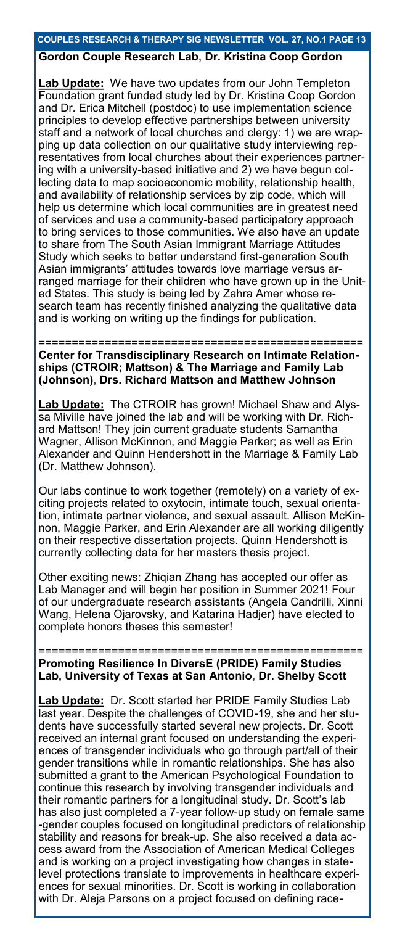### **COUPLES RESEARCH & THERAPY SIG NEWSLETTER VOL. 27, NO.1 PAGE 13**

# **Gordon Couple Research Lab, Dr. Kristina Coop Gordon**

ab Update: We have two updates from our John Templeton Foundation grant funded study led by Dr. Kristina Coop Gordon and Dr. Erica Mitchell (postdoc) to use implementation science principles to develop effective partnerships between university staff and a network of local churches and clergy: 1) we are wrapping up data collection on our qualitative study interviewing representatives from local churches about their experiences partnering with a university-based initiative and 2) we have begun collecting data to map socioeconomic mobility, relationship health, and availability of relationship services by zip code, which will help us determine which local communities are in greatest need of services and use a community-based participatory approach to bring services to those communities. We also have an update to share from The South Asian Immigrant Marriage Attitudes Study which seeks to better understand first-generation South Asian immigrants' attitudes towards love marriage versus arranged marriage for their children who have grown up in the United States. This study is being led by Zahra Amer whose research team has recently finished analyzing the qualitative data and is working on writing up the findings for publication.

=================================================

**Center for Transdisciplinary Research on Intimate Relationships (CTROIR; Mattson) & The Marriage and Family Lab (Johnson), Drs. Richard Mattson and Matthew Johnson**

**Lab Update:** The CTROIR has grown! Michael Shaw and Alyssa Miville have joined the lab and will be working with Dr. Richard Mattson! They join current graduate students Samantha Wagner, Allison McKinnon, and Maggie Parker; as well as Erin Alexander and Quinn Hendershott in the Marriage & Family Lab (Dr. Matthew Johnson).

Our labs continue to work together (remotely) on a variety of exciting projects related to oxytocin, intimate touch, sexual orientation, intimate partner violence, and sexual assault. Allison McKinnon, Maggie Parker, and Erin Alexander are all working diligently on their respective dissertation projects. Quinn Hendershott is currently collecting data for her masters thesis project.

Other exciting news: Zhiqian Zhang has accepted our offer as Lab Manager and will begin her position in Summer 2021! Four of our undergraduate research assistants (Angela Candrilli, Xinni Wang, Helena Ojarovsky, and Katarina Hadjer) have elected to complete honors theses this semester!

================================================= **Promoting Resilience In DiversE (PRIDE) Family Studies Lab, University of Texas at San Antonio, Dr. Shelby Scott**

**Lab Update:** Dr. Scott started her PRIDE Family Studies Lab last year. Despite the challenges of COVID-19, she and her students have successfully started several new projects. Dr. Scott received an internal grant focused on understanding the experiences of transgender individuals who go through part/all of their gender transitions while in romantic relationships. She has also submitted a grant to the American Psychological Foundation to continue this research by involving transgender individuals and their romantic partners for a longitudinal study. Dr. Scott's lab has also just completed a 7-year follow-up study on female same -gender couples focused on longitudinal predictors of relationship stability and reasons for break-up. She also received a data access award from the Association of American Medical Colleges and is working on a project investigating how changes in statelevel protections translate to improvements in healthcare experiences for sexual minorities. Dr. Scott is working in collaboration with Dr. Aleja Parsons on a project focused on defining race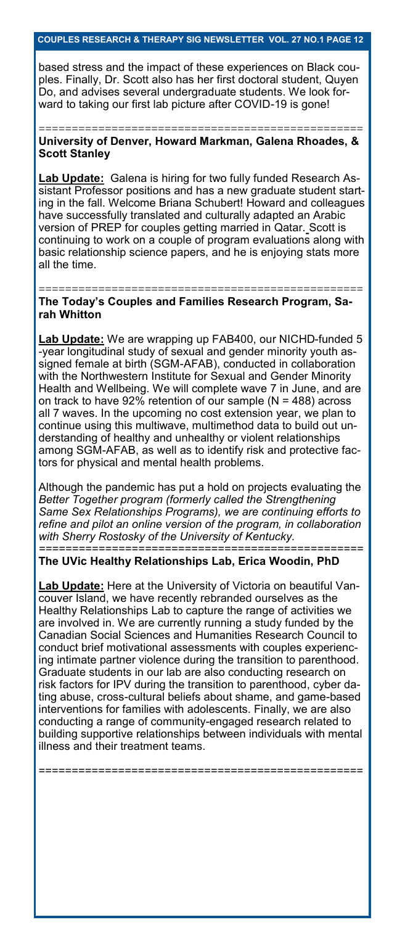based stress and the impact of these experiences on Black couples. Finally, Dr. Scott also has her first doctoral student, Quyen Do, and advises several undergraduate students. We look forward to taking our first lab picture after COVID-19 is gone!

================================================= **University of Denver, Howard Markman, Galena Rhoades, & Scott Stanley**

**Lab Update:** Galena is hiring for two fully funded Research Assistant Professor positions and has a new graduate student starting in the fall. Welcome Briana Schubert! Howard and colleagues have successfully translated and culturally adapted an Arabic version of PREP for couples getting married in Qatar. Scott is continuing to work on a couple of program evaluations along with basic relationship science papers, and he is enjoying stats more all the time.

================================================= **The Today's Couples and Families Research Program, Sarah Whitton**

**Lab Update:** We are wrapping up FAB400, our NICHD-funded 5 -year longitudinal study of sexual and gender minority youth assigned female at birth (SGM-AFAB), conducted in collaboration with the Northwestern Institute for Sexual and Gender Minority Health and Wellbeing. We will complete wave 7 in June, and are on track to have  $92\%$  retention of our sample (N = 488) across all 7 waves. In the upcoming no cost extension year, we plan to continue using this multiwave, multimethod data to build out understanding of healthy and unhealthy or violent relationships among SGM-AFAB, as well as to identify risk and protective factors for physical and mental health problems.

Although the pandemic has put a hold on projects evaluating the *Better Together program (formerly called the Strengthening Same Sex Relationships Programs), we are continuing efforts to refine and pilot an online version of the program, in collaboration with Sherry Rostosky of the University of Kentucky. =================================================*

**The UVic Healthy Relationships Lab, Erica Woodin, PhD**

**Lab Update:** Here at the University of Victoria on beautiful Vancouver Island, we have recently rebranded ourselves as the Healthy Relationships Lab to capture the range of activities we are involved in. We are currently running a study funded by the Canadian Social Sciences and Humanities Research Council to conduct brief motivational assessments with couples experiencing intimate partner violence during the transition to parenthood. Graduate students in our lab are also conducting research on risk factors for IPV during the transition to parenthood, cyber dating abuse, cross-cultural beliefs about shame, and game-based interventions for families with adolescents. Finally, we are also conducting a range of community-engaged research related to building supportive relationships between individuals with mental illness and their treatment teams.

=================================================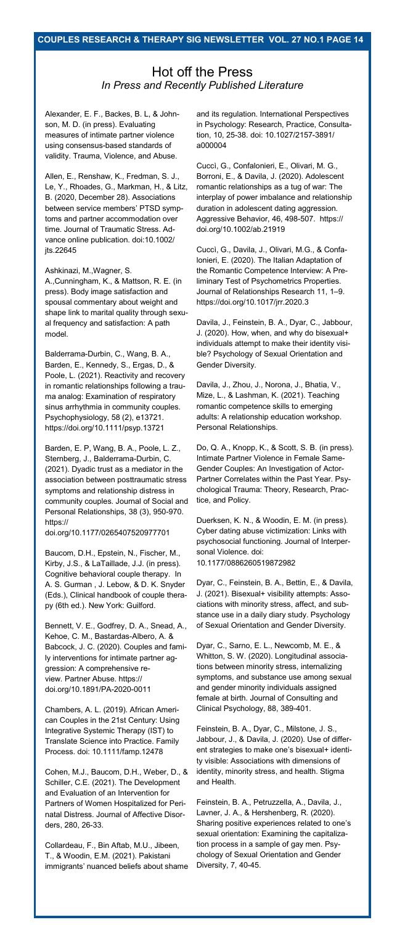# Hot off the Press *In Press and Recently Published Literature*

Alexander, E. F., Backes, B. L, & Johnson, M. D. (in press). Evaluating measures of intimate partner violence using consensus-based standards of validity. Trauma, Violence, and Abuse.

Allen, E., Renshaw, K., Fredman, S. J., Le, Y., Rhoades, G., Markman, H., & Litz, B. (2020, December 28). Associations between service members' PTSD symptoms and partner accommodation over time. Journal of Traumatic Stress. Advance online publication. doi:10.1002/ jts.22645

Ashkinazi, M.,Wagner, S.

A.,Cunningham, K., & Mattson, R. E. (in press). Body image satisfaction and spousal commentary about weight and shape link to marital quality through sexual frequency and satisfaction: A path model.

Balderrama-Durbin, C., Wang, B. A., Barden, E., Kennedy, S., Ergas, D., & Poole, L. (2021). Reactivity and recovery in romantic relationships following a trauma analog: Examination of respiratory sinus arrhythmia in community couples. Psychophysiology, 58 (2), e13721. https://doi.org/10.1111/psyp.13721

Barden, E. P, Wang, B. A., Poole, L. Z., Sternberg, J., Balderrama-Durbin, C. (2021). Dyadic trust as a mediator in the association between posttraumatic stress symptoms and relationship distress in community couples. Journal of Social and Personal Relationships, 38 (3), 950-970. https://

doi.org/10.1177/0265407520977701

Baucom, D.H., Epstein, N., Fischer, M., Kirby, J.S., & LaTaillade, J.J. (in press). Cognitive behavioral couple therapy. In A. S. Gurman , J. Lebow, & D. K. Snyder (Eds.), Clinical handbook of couple therapy (6th ed.). New York: Guilford.

Bennett, V. E., Godfrey, D. A., Snead, A., Kehoe, C. M., Bastardas-Albero, A. & Babcock, J. C. (2020). Couples and family interventions for intimate partner aggression: A comprehensive review. Partner Abuse. https:// doi.org/10.1891/PA-2020-0011

Chambers, A. L. (2019). African American Couples in the 21st Century: Using Integrative Systemic Therapy (IST) to Translate Science into Practice. Family Process. doi: 10.1111/famp.12478

Cohen, M.J., Baucom, D.H., Weber, D., & Schiller, C.E. (2021). The Development and Evaluation of an Intervention for Partners of Women Hospitalized for Perinatal Distress. Journal of Affective Disorders, 280, 26-33.

Collardeau, F., Bin Aftab, M.U., Jibeen, T., & Woodin, E.M. (2021). Pakistani immigrants' nuanced beliefs about shame Diversity, 7, 40-45.

and its regulation. International Perspectives in Psychology: Research, Practice, Consultation, 10, 25-38. doi: 10.1027/2157-3891/ a000004

Cuccì, G., Confalonieri, E., Olivari, M. G., Borroni, E., & Davila, J. (2020). Adolescent romantic relationships as a tug of war: The interplay of power imbalance and relationship duration in adolescent dating aggression. Aggressive Behavior, 46, 498-507. https:// doi.org/10.1002/ab.21919

Cuccì, G., Davila, J., Olivari, M.G., & Confalonieri, E. (2020). The Italian Adaptation of the Romantic Competence Interview: A Preliminary Test of Psychometrics Properties. Journal of Relationships Research 11, 1–9. https://doi.org/10.1017/jrr.2020.3

Davila, J., Feinstein, B. A., Dyar, C., Jabbour, J. (2020). How, when, and why do bisexual+ individuals attempt to make their identity visible? Psychology of Sexual Orientation and Gender Diversity.

Davila, J., Zhou, J., Norona, J., Bhatia, V., Mize, L., & Lashman, K. (2021). Teaching romantic competence skills to emerging adults: A relationship education workshop. Personal Relationships.

Do, Q. A., Knopp, K., & Scott, S. B. (in press). Intimate Partner Violence in Female Same-Gender Couples: An Investigation of Actor-Partner Correlates within the Past Year. Psychological Trauma: Theory, Research, Practice, and Policy.

Duerksen, K. N., & Woodin, E. M. (in press). Cyber dating abuse victimization: Links with psychosocial functioning. Journal of Interpersonal Violence. doi: 10.1177/0886260519872982

Dyar, C., Feinstein, B. A., Bettin, E., & Davila, J. (2021). Bisexual+ visibility attempts: Associations with minority stress, affect, and substance use in a daily diary study. Psychology of Sexual Orientation and Gender Diversity.

Dyar, C., Sarno, E. L., Newcomb, M. E., & Whitton, S. W. (2020). Longitudinal associations between minority stress, internalizing symptoms, and substance use among sexual and gender minority individuals assigned female at birth. Journal of Consulting and Clinical Psychology, 88, 389-401.

Feinstein, B. A., Dyar, C., Milstone, J. S., Jabbour, J., & Davila, J. (2020). Use of different strategies to make one's bisexual+ identity visible: Associations with dimensions of identity, minority stress, and health. Stigma and Health.

Feinstein, B. A., Petruzzella, A., Davila, J., Lavner, J. A., & Hershenberg, R. (2020). Sharing positive experiences related to one's sexual orientation: Examining the capitalization process in a sample of gay men. Psychology of Sexual Orientation and Gender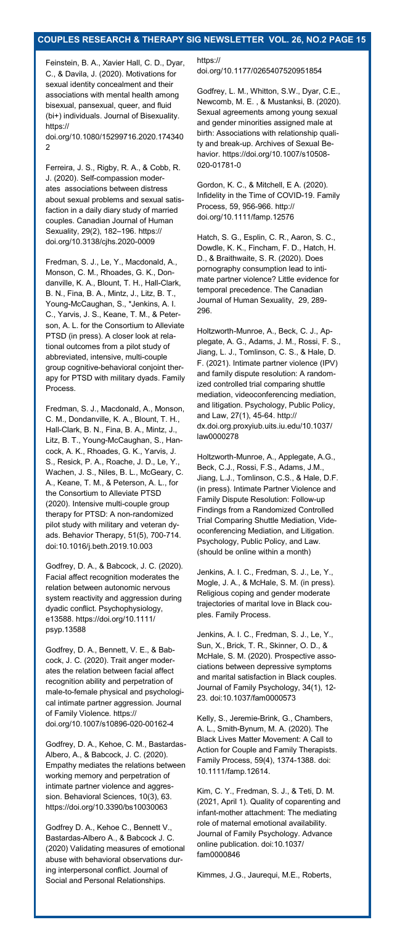### **COUPLES RESEARCH & THERAPY SIG NEWSLETTER VOL. 26, NO.2 PAGE 15**

Feinstein, B. A., Xavier Hall, C. D., Dyar, C., & Davila, J. (2020). Motivations for sexual identity concealment and their associations with mental health among bisexual, pansexual, queer, and fluid (bi+) individuals. Journal of Bisexuality. https://

doi.org/10.1080/15299716.2020.174340 2

Ferreira, J. S., Rigby, R. A., & Cobb, R. J. (2020). Self-compassion moderates associations between distress about sexual problems and sexual satisfaction in a daily diary study of married couples. Canadian Journal of Human Sexuality, 29(2), 182–196. https:// doi.org/10.3138/cjhs.2020-0009

Fredman, S. J., Le, Y., Macdonald, A., Monson, C. M., Rhoades, G. K., Dondanville, K. A., Blount, T. H., Hall-Clark, B. N., Fina, B. A., Mintz, J., Litz, B. T., Young-McCaughan, S., \*Jenkins, A. I. C., Yarvis, J. S., Keane, T. M., & Peterson, A. L. for the Consortium to Alleviate PTSD (in press). A closer look at relational outcomes from a pilot study of abbreviated, intensive, multi-couple group cognitive-behavioral conjoint therapy for PTSD with military dyads. Family Process.

Fredman, S. J., Macdonald, A., Monson, C. M., Dondanville, K. A., Blount, T. H., Hall-Clark, B. N., Fina, B. A., Mintz, J., Litz, B. T., Young-McCaughan, S., Hancock, A. K., Rhoades, G. K., Yarvis, J. S., Resick, P. A., Roache, J. D., Le, Y. Wachen, J. S., Niles, B. L., McGeary, C. A., Keane, T. M., & Peterson, A. L., for the Consortium to Alleviate PTSD (2020). Intensive multi-couple group therapy for PTSD: A non-randomized pilot study with military and veteran dyads. Behavior Therapy, 51(5), 700-714. doi:10.1016/j.beth.2019.10.003

Godfrey, D. A., & Babcock, J. C. (2020). Facial affect recognition moderates the relation between autonomic nervous system reactivity and aggression during dyadic conflict. Psychophysiology, e13588. https://doi.org/10.1111/ psyp.13588

Godfrey, D. A., Bennett, V. E., & Babcock, J. C. (2020). Trait anger moderates the relation between facial affect recognition ability and perpetration of male-to-female physical and psychological intimate partner aggression. Journal of Family Violence. https:// doi.org/10.1007/s10896-020-00162-4

Godfrey, D. A., Kehoe, C. M., Bastardas-Albero, A., & Babcock, J. C. (2020). Empathy mediates the relations between working memory and perpetration of intimate partner violence and aggression. Behavioral Sciences, 10(3), 63. https://doi.org/10.3390/bs10030063

Godfrey D. A., Kehoe C., Bennett V., Bastardas-Albero A., & Babcock J. C. (2020) Validating measures of emotional abuse with behavioral observations during interpersonal conflict. Journal of Social and Personal Relationships.

https:// doi.org/10.1177/0265407520951854

Godfrey, L. M., Whitton, S.W., Dyar, C.E., Newcomb, M. E. , & Mustanksi, B. (2020). Sexual agreements among young sexual and gender minorities assigned male at birth: Associations with relationship quality and break-up. Archives of Sexual Behavior. [https://doi.org/10.1007/s10508](https://doi.org/10.1007/s10508-020-01781-0)- 020-[01781](https://doi.org/10.1007/s10508-020-01781-0)-0

Gordon, K. C., & Mitchell, E A. (2020). Infidelity in the Time of COVID-19. Family Process, 59, 956-966. http:// doi.org/10.1111/famp.12576

Hatch, S. G., Esplin, C. R., Aaron, S. C., Dowdle, K. K., Fincham, F. D., Hatch, H. D., & Braithwaite, S. R. (2020). Does pornography consumption lead to intimate partner violence? Little evidence for temporal precedence. The Canadian Journal of Human Sexuality, 29, 289- 296.

Holtzworth-Munroe, A., Beck, C. J., Applegate, A. G., Adams, J. M., Rossi, F. S., Jiang, L. J., Tomlinson, C. S., & Hale, D. F. (2021). Intimate partner violence (IPV) and family dispute resolution: A randomized controlled trial comparing shuttle mediation, videoconferencing mediation, and litigation. Psychology, Public Policy, and Law, 27(1), 45-64. http:// [dx.doi.org.proxyiub.uits.iu.edu/10.1037/](http://dx.doi.org.proxyiub.uits.iu.edu/10.1037/law0000278) [law0000278](http://dx.doi.org.proxyiub.uits.iu.edu/10.1037/law0000278)

Holtzworth-Munroe, A., Applegate, A.G., Beck, C.J., Rossi, F.S., Adams, J.M., Jiang, L.J., Tomlinson, C.S., & Hale, D.F. (in press). Intimate Partner Violence and Family Dispute Resolution: Follow-up Findings from a Randomized Controlled Trial Comparing Shuttle Mediation, Videoconferencing Mediation, and Litigation. Psychology, Public Policy, and Law. (should be online within a month)

Jenkins, A. I. C., Fredman, S. J., Le, Y., Mogle, J. A., & McHale, S. M. (in press). Religious coping and gender moderate trajectories of marital love in Black couples. Family Process.

Jenkins, A. I. C., Fredman, S. J., Le, Y., Sun, X., Brick, T. R., Skinner, O. D., & McHale, S. M. (2020). Prospective associations between depressive symptoms and marital satisfaction in Black couples. Journal of Family Psychology, 34(1), 12- 23. doi:10.1037/fam0000573

Kelly, S., Jeremie-Brink, G., Chambers, A. L., Smith-Bynum, M. A. (2020). The Black Lives Matter Movement: A Call to Action for Couple and Family Therapists. Family Process, 59(4), 1374-1388. doi: 10.1111/famp.12614.

Kim, C. Y., Fredman, S. J., & Teti, D. M. (2021, April 1). Quality of coparenting and infant-mother attachment: The mediating role of maternal emotional availability. Journal of Family Psychology. Advance online publication. doi:10.1037/ fam0000846

Kimmes, J.G., Jaurequi, M.E., Roberts,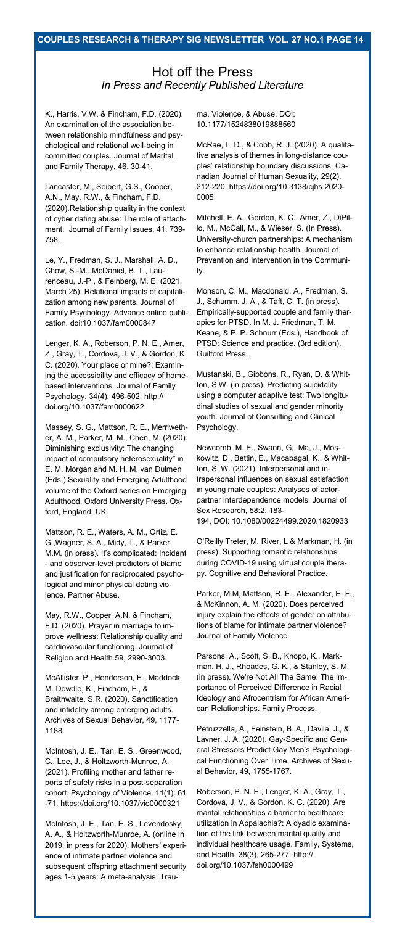# Hot off the Press *In Press and Recently Published Literature*

K., Harris, V.W. & Fincham, F.D. (2020). An examination of the association between relationship mindfulness and psychological and relational well-being in committed couples. Journal of Marital and Family Therapy, 46, 30-41.

Lancaster, M., Seibert, G.S., Cooper, A.N., May, R.W., & Fincham, F.D. (2020).Relationship quality in the context of cyber dating abuse: The role of attachment. Journal of Family Issues, 41, 739- 758.

Le, Y., Fredman, S. J., Marshall, A. D., Chow, S.-M., McDaniel, B. T., Laurenceau, J.-P., & Feinberg, M. E. (2021, March 25). Relational impacts of capitalization among new parents. Journal of Family Psychology. Advance online publication. doi:10.1037/fam0000847

Lenger, K. A., Roberson, P. N. E., Amer, Z., Gray, T., Cordova, J. V., & Gordon, K. C. (2020). Your place or mine?: Examining the accessibility and efficacy of homebased interventions. Journal of Family Psychology, 34(4), 496-502. http:// doi.org/10.1037/fam0000622

Massey, S. G., Mattson, R. E., Merriwether, A. M., Parker, M. M., Chen, M. (2020). Diminishing exclusivity: The changing impact of compulsory heterosexuality" in E. M. Morgan and M. H. M. van Dulmen (Eds.) Sexuality and Emerging Adulthood volume of the Oxford series on Emerging Adulthood. Oxford University Press. Oxford, England, UK.

Mattson, R. E., Waters, A. M., Ortiz, E. G.,Wagner, S. A., Midy, T., & Parker, M.M. (in press). It's complicated: Incident - and observer-level predictors of blame and justification for reciprocated psychological and minor physical dating violence. Partner Abuse.

May, R.W., Cooper, A.N. & Fincham, F.D. (2020). Prayer in marriage to improve wellness: Relationship quality and cardiovascular functioning. Journal of Religion and Health.59, 2990-3003.

McAllister, P., Henderson, E., Maddock, M. Dowdle, K., Fincham, F., & Braithwaite, S.R. (2020). Sanctification and infidelity among emerging adults. Archives of Sexual Behavior, 49, 1177- 1188.

McIntosh, J. E., Tan, E. S., Greenwood, C., Lee, J., & Holtzworth-Munroe, A. (2021). Profiling mother and father reports of safety risks in a post-separation cohort. Psychology of Violence. 11(1): 61 -71. <https://doi.org/10.1037/vio0000321>

McIntosh, J. E., Tan, E. S., Levendosky, A. A., & Holtzworth-Munroe, A. (online in 2019; in press for 2020). Mothers' experience of intimate partner violence and subsequent offspring attachment security ages 1-5 years: A meta-analysis. Trauma, Violence, & Abuse. DOI: 10.1177/1524838019888560

McRae, L. D., & Cobb, R. J. (2020). A qualitative analysis of themes in long-distance couples' relationship boundary discussions. Canadian Journal of Human Sexuality, 29(2), 212-220. https://doi.org/10.3138/cjhs.2020- 0005

Mitchell, E. A., Gordon, K. C., Amer, Z., DiPillo, M., McCall, M., & Wieser, S. (In Press). University-church partnerships: A mechanism to enhance relationship health. Journal of Prevention and Intervention in the Community.

Monson, C. M., Macdonald, A., Fredman, S. J., Schumm, J. A., & Taft, C. T. (in press). Empirically-supported couple and family therapies for PTSD. In M. J. Friedman, T. M. Keane, & P. P. Schnurr (Eds.), Handbook of PTSD: Science and practice. (3rd edition). Guilford Press.

Mustanski, B., Gibbons, R., Ryan, D. & Whitton, S.W. (in press). Predicting suicidality using a computer adaptive test: Two longitudinal studies of sexual and gender minority youth. Journal of Consulting and Clinical Psychology.

Newcomb, M. E., Swann, G,. Ma, J., Moskowitz, D., Bettin, E., Macapagal, K., & Whitton, S. W. (2021). Interpersonal and intrapersonal influences on sexual satisfaction in young male couples: Analyses of actorpartner interdependence models. Journal of Sex Research, 58:2, 183- 194, DOI: [10.1080/00224499.2020.1820933](https://doi.org/10.1080/00224499.2020.1820933) 

O'Reilly Treter, M, River, L & Markman, H. (in press). Supporting romantic relationships during COVID-19 using virtual couple therapy. Cognitive and Behavioral Practice.

Parker, M.M, Mattson, R. E., Alexander, E. F., & McKinnon, A. M. (2020). Does perceived injury explain the effects of gender on attributions of blame for intimate partner violence? Journal of Family Violence.

Parsons, A., Scott, S. B., Knopp, K., Markman, H. J., Rhoades, G. K., & Stanley, S. M. (in press). We're Not All The Same: The Importance of Perceived Difference in Racial Ideology and Afrocentrism for African American Relationships. Family Process.

Petruzzella, A., Feinstein, B. A., Davila, J., & Lavner, J. A. (2020). Gay-Specific and General Stressors Predict Gay Men's Psychological Functioning Over Time. Archives of Sexual Behavior, 49, 1755-1767.

Roberson, P. N. E., Lenger, K. A., Gray, T., Cordova, J. V., & Gordon, K. C. (2020). Are marital relationships a barrier to healthcare utilization in Appalachia?: A dyadic examination of the link between marital quality and individual healthcare usage. Family, Systems, and Health, 38(3), 265-277. http:// doi.org/10.1037/fsh0000499